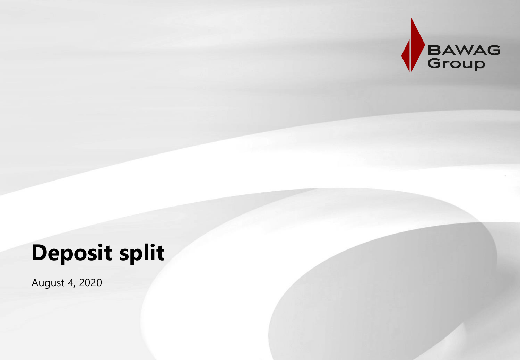

## **Deposit split**

August 4, 2020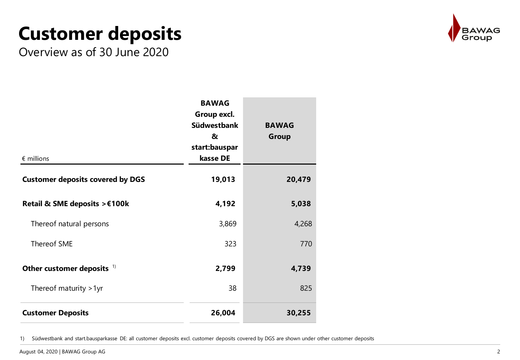## **Customer deposits**



Overview as of 30 June 2020

| $\epsilon$ millions                     | <b>BAWAG</b><br>Group excl.<br><b>Südwestbank</b><br>&<br>start:bauspar<br>kasse DE | <b>BAWAG</b><br><b>Group</b> |
|-----------------------------------------|-------------------------------------------------------------------------------------|------------------------------|
| <b>Customer deposits covered by DGS</b> | 19,013                                                                              | 20,479                       |
| Retail & SME deposits > €100k           | 4,192                                                                               | 5,038                        |
| Thereof natural persons                 | 3,869                                                                               | 4,268                        |
| Thereof SME                             | 323                                                                                 | 770                          |
| Other customer deposits $1$             | 2,799                                                                               | 4,739                        |
| Thereof maturity > 1yr                  | 38                                                                                  | 825                          |
| <b>Customer Deposits</b>                | 26,004                                                                              | 30,255                       |

1) Südwestbank and start.bausparkasse DE: all customer deposits excl. customer deposits covered by DGS are shown under other customer deposits